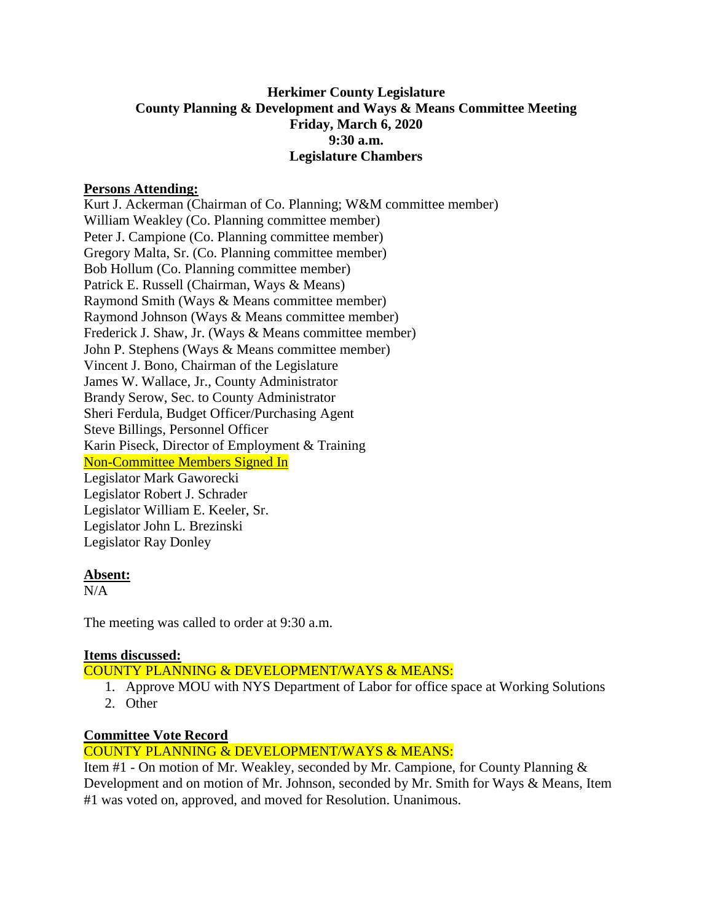# **Herkimer County Legislature County Planning & Development and Ways & Means Committee Meeting Friday, March 6, 2020 9:30 a.m. Legislature Chambers**

#### **Persons Attending:**

Kurt J. Ackerman (Chairman of Co. Planning; W&M committee member) William Weakley (Co. Planning committee member) Peter J. Campione (Co. Planning committee member) Gregory Malta, Sr. (Co. Planning committee member) Bob Hollum (Co. Planning committee member) Patrick E. Russell (Chairman, Ways & Means) Raymond Smith (Ways & Means committee member) Raymond Johnson (Ways & Means committee member) Frederick J. Shaw, Jr. (Ways & Means committee member) John P. Stephens (Ways & Means committee member) Vincent J. Bono, Chairman of the Legislature James W. Wallace, Jr., County Administrator Brandy Serow, Sec. to County Administrator Sheri Ferdula, Budget Officer/Purchasing Agent Steve Billings, Personnel Officer Karin Piseck, Director of Employment & Training Non-Committee Members Signed In Legislator Mark Gaworecki Legislator Robert J. Schrader Legislator William E. Keeler, Sr. Legislator John L. Brezinski Legislator Ray Donley

#### **Absent:**

N/A

The meeting was called to order at 9:30 a.m.

## **Items discussed:**

## COUNTY PLANNING & DEVELOPMENT/WAYS & MEANS:

- 1. Approve MOU with NYS Department of Labor for office space at Working Solutions
- 2. Other

#### **Committee Vote Record**

## COUNTY PLANNING & DEVELOPMENT/WAYS & MEANS:

Item #1 - On motion of Mr. Weakley, seconded by Mr. Campione, for County Planning & Development and on motion of Mr. Johnson, seconded by Mr. Smith for Ways & Means, Item #1 was voted on, approved, and moved for Resolution. Unanimous.